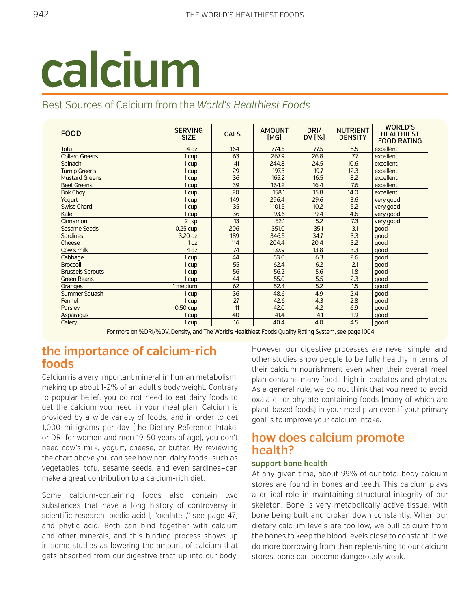

# Best Sources of Calcium from the *World's Healthiest Foods*

| <b>FOOD</b>                                                                                             | <b>SERVING</b><br><b>SIZE</b> | <b>CALS</b> | <b>AMOUNT</b><br>[MG] | DRI/<br>DV $[%]$ | <b>NUTRIENT</b><br><b>DENSITY</b> | <b>WORLD'S</b><br><b>HEALTHIEST</b><br><b>FOOD RATING</b> |
|---------------------------------------------------------------------------------------------------------|-------------------------------|-------------|-----------------------|------------------|-----------------------------------|-----------------------------------------------------------|
| Tofu                                                                                                    | 4 <sub>oz</sub>               | 164         | 774.5                 | 77.5             | 8.5                               | excellent                                                 |
| <b>Collard Greens</b>                                                                                   | 1 cup                         | 63          | 267.9                 | 26.8             | 7.7                               | excellent                                                 |
| Spinach                                                                                                 | 1 cup                         | 41          | 244.8                 | 24.5             | 10.6                              | excellent                                                 |
| <b>Turnip Greens</b>                                                                                    | 1 cup                         | 29          | 197.3                 | 19.7             | 12.3                              | excellent                                                 |
| <b>Mustard Greens</b>                                                                                   | 1 cup                         | 36          | 165.2                 | 16.5             | 8.2                               | excellent                                                 |
| <b>Beet Greens</b>                                                                                      | 1 cup                         | 39          | 164.2                 | 16.4             | 7.6                               | excellent                                                 |
| <b>Bok Choy</b>                                                                                         | 1 cup                         | 20          | 158.1                 | 15.8             | 14.0                              | excellent                                                 |
| Yogurt                                                                                                  | 1 cup                         | 149         | 296.4                 | 29.6             | 3.6                               | very good                                                 |
| <b>Swiss Chard</b>                                                                                      | 1 cup                         | 35          | 101.5                 | 10.2             | 5.2                               | very good                                                 |
| Kale                                                                                                    | 1 cup                         | 36          | 93.6                  | 9.4              | 4.6                               | very good                                                 |
| Cinnamon                                                                                                | 2 tsp                         | 13          | 52.1                  | 5.2              | 7.3                               | very good                                                 |
| <b>Sesame Seeds</b>                                                                                     | $0.25$ cup                    | 206         | 351.0                 | 35.1             | 3.1                               | qood                                                      |
| <b>Sardines</b>                                                                                         | 3.20 oz                       | 189         | 346.5                 | 34.7             | 3.3                               | good                                                      |
| Cheese                                                                                                  | 1 <sub>oz</sub>               | 114         | 204.4                 | 20.4             | 3.2                               | good                                                      |
| Cow's milk                                                                                              | 4 oz                          | 74          | 137.9                 | 13.8             | 3.3                               | qood                                                      |
| Cabbage                                                                                                 | 1 cup                         | 44          | 63.0                  | 6.3              | 2.6                               | qood                                                      |
| <b>Broccoli</b>                                                                                         | 1 cup                         | 55          | 62.4                  | 6.2              | 2.1                               | good                                                      |
| <b>Brussels Sprouts</b>                                                                                 | 1 cup                         | 56          | 56.2                  | 5.6              | 1.8                               | good                                                      |
| <b>Green Beans</b>                                                                                      | 1 cup                         | 44          | 55.0                  | 5.5              | 2.3                               | qood                                                      |
| Oranges                                                                                                 | 1 medium                      | 62          | 52.4                  | 5.2              | 1.5                               | good                                                      |
| Summer Squash                                                                                           | 1 cup                         | 36          | 48.6                  | 4.9              | 2.4                               | good                                                      |
| Fennel                                                                                                  | 1 cup                         | 27          | 42.6                  | 4.3              | 2.8                               | good                                                      |
| Parsley                                                                                                 | $0.50 \text{ cup}$            | 11          | 42.0                  | 4.2              | 6.9                               | qood                                                      |
| Asparagus                                                                                               | 1 cup                         | 40          | 41.4                  | 4.1              | 1.9                               | qood                                                      |
| Celery                                                                                                  | 1 cup                         | 16          | 40.4                  | 4.0              | 4.5                               | qood                                                      |
| For more an 8/ DDI/8/ DV, Density and The World's Healtbiest Foods Quality Pating System, see name 1004 |                               |             |                       |                  |                                   |                                                           |

For more on %DRI/%DV, Density, and The World's Healthiest Foods Quality Rating System, see page 1004.

## **the importance of calcium-rich foods**

Calcium is a very important mineral in human metabolism, making up about 1-2% of an adult's body weight. Contrary to popular belief, you do not need to eat dairy foods to get the calcium you need in your meal plan. Calcium is provided by a wide variety of foods, and in order to get 1,000 milligrams per day (the Dietary Reference Intake, or DRI for women and men 19-50 years of age), you don't need cow's milk, yogurt, cheese, or butter. By reviewing the chart above you can see how non-dairy foods—such as vegetables, tofu, sesame seeds, and even sardines—can make a great contribution to a calcium-rich diet.

Some calcium-containing foods also contain two substances that have a long history of controversy in scientific research—oxalic acid ( "oxalates," see page 47) and phytic acid. Both can bind together with calcium and other minerals, and this binding process shows up in some studies as lowering the amount of calcium that gets absorbed from our digestive tract up into our body.

However, our digestive processes are never simple, and other studies show people to be fully healthy in terms of their calcium nourishment even when their overall meal plan contains many foods high in oxalates and phytates. As a general rule, we do not think that you need to avoid oxalate- or phytate-containing foods (many of which are plant-based foods) in your meal plan even if your primary goal is to improve your calcium intake.

# **how does calcium promote health?**

#### **support bone health**

At any given time, about 99% of our total body calcium stores are found in bones and teeth. This calcium plays a critical role in maintaining structural integrity of our skeleton. Bone is very metabolically active tissue, with bone being built and broken down constantly. When our dietary calcium levels are too low, we pull calcium from the bones to keep the blood levels close to constant. If we do more borrowing from than replenishing to our calcium stores, bone can become dangerously weak.